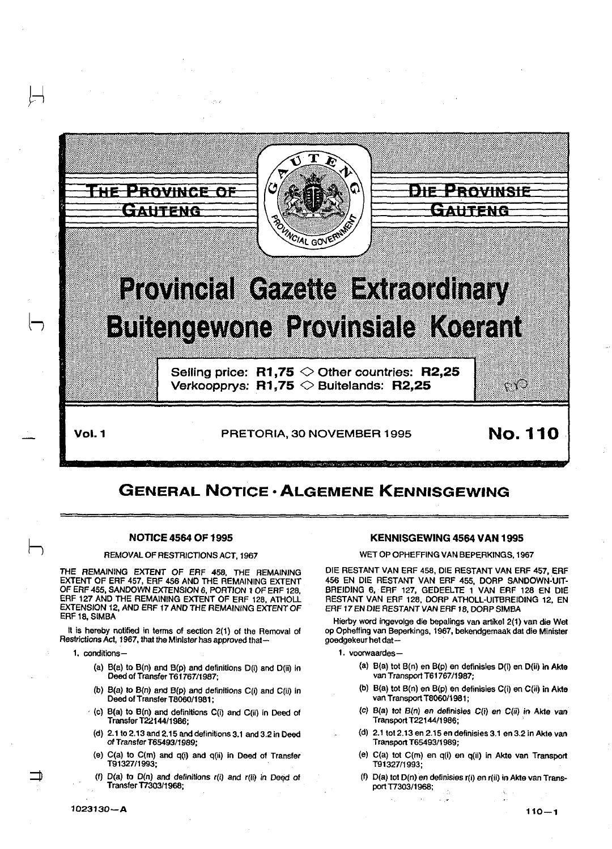

# GENERAL NOTICE • ALGEMENE KENNISGEWING

# NOTICE 4564 OF 1995

## REMOVALOFRESTRICTIONSACT, 1967

THE REMAINING EXTENT OF ERF 458, THE REMAINING EXTENT OF ERF 457, ERF 456 AND THE REMAINING EXTENT OF ERF 455, SANDOWN EXTENSION 6, PORTION 1 OF ERF 128, ERF 127 AND THE REMAINING EXTENT OF ERF 128, ATHOLL EXTENSION 12, AND ERF 17 AND THE REMAINING EXTENT OF ERF 18, SIMBA

It is hereby notified in terms of section 2(1) of the Removal of Restrictions Act, 1967, that the Minister has approved that-

1. conditions-

- (a) B(a) to B(n) and B(p) and definitions D(i) and D(ii) In Deed of Transfer T61767/1987;
- (b) B(a) to B(n) and B(p) and definitions C(i) and C(ii) in Deed of Transfer T8060/1981;
- $\cdot$  (c) B(a) to B(n) and definitions C(i) and C(ii) in Deed of Transfer T2214411986;
- (d) 2.1 to 2.13 and 2.15 and definitions 3.1 and 3.2 in Deed of Transfer T6549311989;
- (e) C(a) to C(m) and q(i) and q(ii) in Deed of Transfer T9132711993;
- (f) O(a) to O(n) and definitions r(i) and r(ii) In Deed of Transfer T730311968;

# KENNISGEWING 4564 VAN 1995

WET OP OPHEFFING VAN BEPERKINGS, 1967

DIE RESTANT VAN ERF 458, DIE RESTANT VAN ERF 457, ERF 456 EN DIE RESTANT VAN ERF 455, DORP SANDOWN-UIT-BREIOING 6, ERF 127, GEDEELTE 1 VAN ERF 128 EN DIE RESTANT VAN ERF 128, DORP ATHOLL-UITBREIDING 12, EN ERF 17 EN DIE RESTANT VAN ERF 18, DORP SIMBA

Hierby word ingevolge die bepalings van artikel 2(1) van die Wet op Opheffing van Beperkings, 1967, bekendgemaak dat die Minister goedgekeur het dat-

1. voorwaardes-

- (a) B(a) tot B(n) en B(p) en definisles D(i) en D(ii) in Akte van Transport T61767/1987;
- (b) B(a) tot B(n) en B(p) en definisies C(i) en C(ii) in Akte van Transport T806011981;
- (c) B(a) tot B(n) en deftnisies C(i) en C(ii) in Akte van Transport T2214411986;
- (d) 2.1 tot 2.13 en 2.15 en definisies 3.1 en 3.2 in Akte van Transport T65493!1989;
- (e) C(a) tot C(m) en q(i) en q(il) in Akte van Transport T91327f1993;
- (f) D(a) tot D(n) en definiSies r(i) en r(ii) in Akte *van* Transport T730311968;